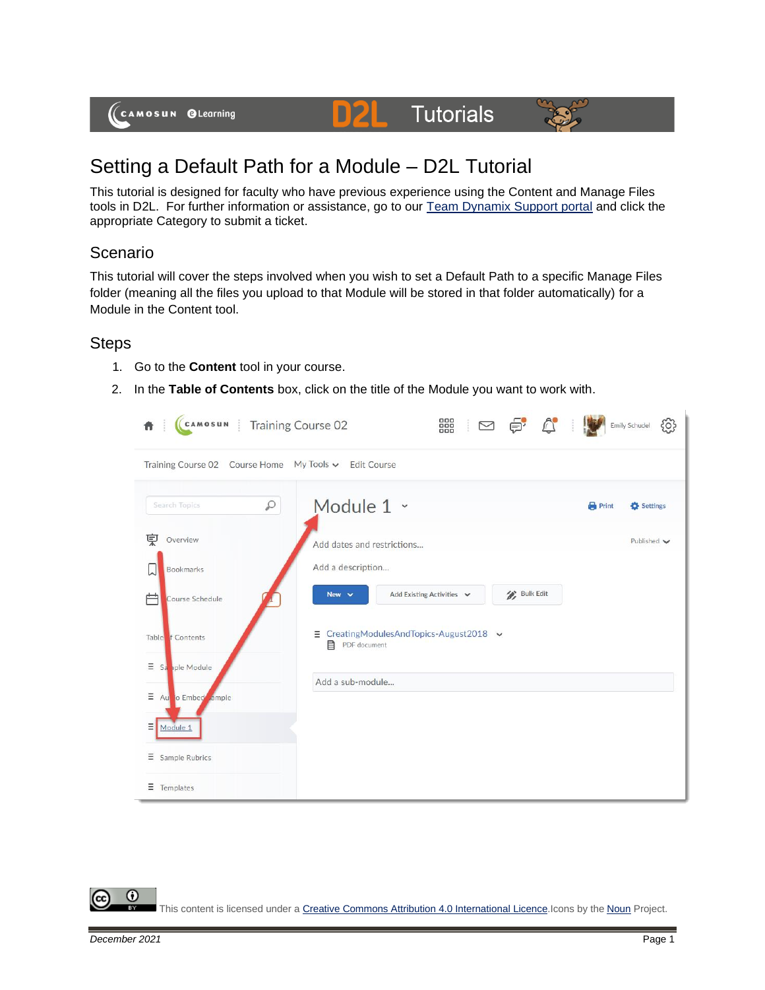

## Setting a Default Path for a Module – D2L Tutorial

This tutorial is designed for faculty who have previous experience using the Content and Manage Files tools in D2L. For further information or assistance, go to our [Team Dynamix Support portal](https://camosun.teamdynamix.com/TDClient/67/Portal/Requests/ServiceCatalog?CategoryID=523) and click the appropriate Category to submit a ticket.

DZI

**Tutorials** 

## Scenario

This tutorial will cover the steps involved when you wish to set a Default Path to a specific Manage Files folder (meaning all the files you upload to that Module will be stored in that folder automatically) for a Module in the Content tool.

## **Steps**

- 1. Go to the **Content** tool in your course.
- 2. In the **Table of Contents** box, click on the title of the Module you want to work with.



⋒ This content is licensed under [a Creative Commons Attribution 4.0 International Licence.I](https://creativecommons.org/licenses/by/4.0/)cons by the [Noun](https://creativecommons.org/website-icons/) Project.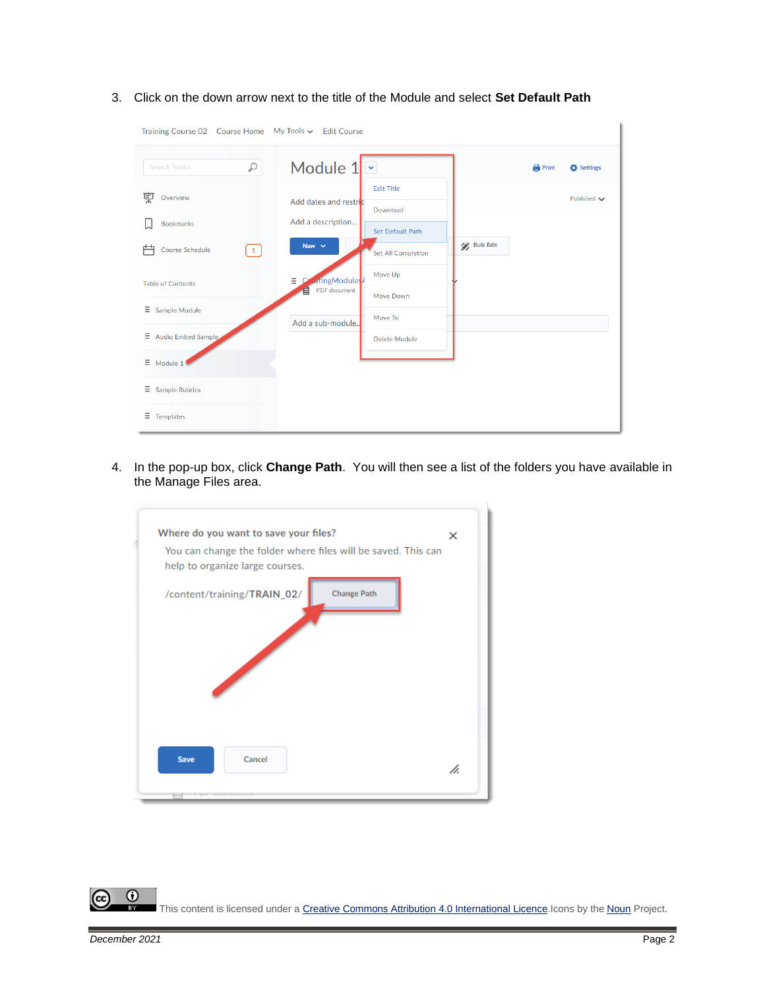- Training Course 02 Course Home My Tools v Edit Course Module 1  $\circ$  $\overline{\check{}}$ Search Topics  $\bigoplus$  Print Settings Edit Title **東** Overview Published  $\blacktriangleright$ Add dates and restri Download Add a description...  $\Box$  Bookmarks Set Default Path **Bulk Edit** New  $\sim$ | Course Schedule  $\boxed{1}$ Set All Completion Move Up  $\equiv$ atingModule Table of Contents PDF docume 自 Move Down  $\equiv$  Sample Module Move To Add a sub-module.  $\Xi$  Audio Embed Samp Delete Module  $\equiv$  Module 1  $\equiv$  Sample Rubrics  $\equiv$  Templates
- 3. Click on the down arrow next to the title of the Module and select **Set Default Path**

4. In the pop-up box, click **Change Path**. You will then see a list of the folders you have available in the Manage Files area.

| Where do you want to save your files?<br>You can change the folder where files will be saved. This can<br>help to organize large courses. | ×  |
|-------------------------------------------------------------------------------------------------------------------------------------------|----|
| /content/training/TRAIN_02/<br><b>Change Path</b>                                                                                         |    |
|                                                                                                                                           |    |
| <b>Save</b><br>Cancel                                                                                                                     | h. |

 $\odot$ This content is licensed under [a Creative Commons Attribution 4.0 International Licence.I](https://creativecommons.org/licenses/by/4.0/)cons by the [Noun](https://creativecommons.org/website-icons/) Project.